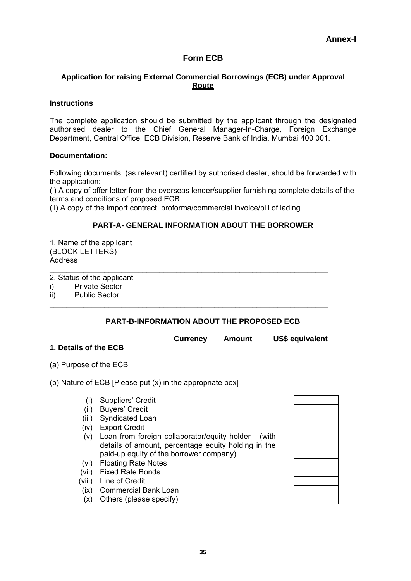# **Form ECB**

### **Application for raising External Commercial Borrowings (ECB) under Approval Route**

#### **Instructions**

The complete application should be submitted by the applicant through the designated authorised dealer to the Chief General Manager-In-Charge, Foreign Exchange Department, Central Office, ECB Division, Reserve Bank of India, Mumbai 400 001.

#### **Documentation:**

Following documents, (as relevant) certified by authorised dealer, should be forwarded with the application:

(i) A copy of offer letter from the overseas lender/supplier furnishing complete details of the terms and conditions of proposed ECB.

(ii) A copy of the import contract, proforma/commercial invoice/bill of lading.

\_\_\_\_\_\_\_\_\_\_\_\_\_\_\_\_\_\_\_\_\_\_\_\_\_\_\_\_\_\_\_\_\_\_\_\_\_\_\_\_\_\_\_\_\_\_\_\_\_\_\_\_\_\_\_\_\_\_\_\_\_\_\_\_\_\_

\_\_\_\_\_\_\_\_\_\_\_\_\_\_\_\_\_\_\_\_\_\_\_\_\_\_\_\_\_\_\_\_\_\_\_\_\_\_\_\_\_\_\_\_\_\_\_\_\_\_\_\_\_\_\_\_\_\_\_\_\_\_\_\_\_\_

\_\_\_\_\_\_\_\_\_\_\_\_\_\_\_\_\_\_\_\_\_\_\_\_\_\_\_\_\_\_\_\_\_\_\_\_\_\_\_\_\_\_\_\_\_\_\_\_\_\_\_\_\_\_\_\_\_\_\_\_\_\_\_\_\_\_

# **PART-A- GENERAL INFORMATION ABOUT THE BORROWER**

1. Name of the applicant (BLOCK LETTERS) **Address** 

2. Status of the applicant

- i) Private Sector
- ii) Public Sector

#### **PART-B-INFORMATION ABOUT THE PROPOSED ECB**

#### **\_\_\_\_\_\_\_\_\_\_\_\_\_\_\_\_\_\_\_\_\_\_\_\_\_\_\_\_\_\_\_\_\_\_\_\_\_\_\_\_\_\_\_\_\_\_\_\_\_\_\_\_\_\_\_\_\_\_\_\_\_\_\_\_\_\_ Currency Amount US\$ equivalent**

# **1. Details of the ECB**

(a) Purpose of the ECB

#### (b) Nature of ECB [Please put (x) in the appropriate box]

- (i) Suppliers' Credit
- (ii) Buyers' Credit
- (iii) Syndicated Loan
- (iv) Export Credit
- (v) Loan from foreign collaborator/equity holder (with details of amount, percentage equity holding in the paid-up equity of the borrower company)
- (vi) Floating Rate Notes
- (vii) Fixed Rate Bonds
- (viii) Line of Credit
- (ix) Commercial Bank Loan
- (x) Others (please specify)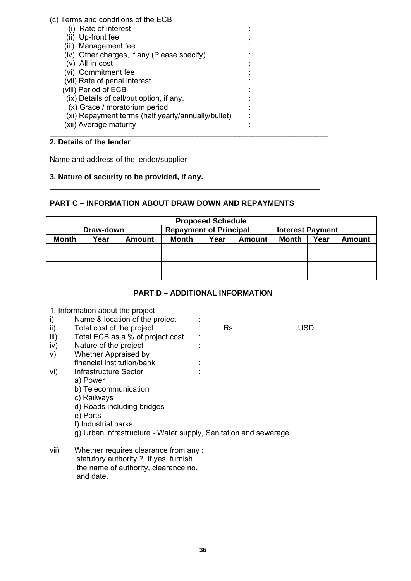# (c) Terms and conditions of the ECB

- (i) Rate of interest
- (ii) Up-front fee
- (iii) Management fee
- (iv) Other charges, if any (Please specify)
- $(v)$  All-in-cost
- (vi) Commitment fee
- (vii) Rate of penal interest :
- (viii) Period of ECB :
- $(ix)$  Details of call/put option, if any.
- (x) Grace / moratorium period :
- (xi) Repayment terms (half yearly/annually/bullet) :
- (xii) Average maturity \_\_\_\_\_\_\_\_\_\_\_\_\_\_\_\_\_\_\_\_\_\_\_\_\_\_\_\_\_\_\_\_\_\_\_\_\_\_\_\_\_\_\_\_\_\_\_\_\_\_\_\_\_\_\_\_\_\_\_\_\_\_\_\_\_\_

# **2. Details of the lender**

Name and address of the lender/supplier

#### \_\_\_\_\_\_\_\_\_\_\_\_\_\_\_\_\_\_\_\_\_\_\_\_\_\_\_\_\_\_\_\_\_\_\_\_\_\_\_\_\_\_\_\_\_\_\_\_\_\_\_\_\_\_\_\_\_\_\_\_\_\_\_\_\_\_ **3. Nature of security to be provided, if any.**

# **PART C – INFORMATION ABOUT DRAW DOWN AND REPAYMENTS**

\_\_\_\_\_\_\_\_\_\_\_\_\_\_\_\_\_\_\_\_\_\_\_\_\_\_\_\_\_\_\_\_\_\_\_\_\_\_\_\_\_\_\_\_\_\_\_\_\_\_\_\_\_\_\_\_\_\_\_\_\_\_\_\_

| <b>Proposed Schedule</b> |      |               |                               |      |        |                         |      |               |
|--------------------------|------|---------------|-------------------------------|------|--------|-------------------------|------|---------------|
| Draw-down                |      |               | <b>Repayment of Principal</b> |      |        | <b>Interest Payment</b> |      |               |
| <b>Month</b>             | Year | <b>Amount</b> | Month                         | Year | Amount | <b>Month</b>            | Year | <b>Amount</b> |
|                          |      |               |                               |      |        |                         |      |               |
|                          |      |               |                               |      |        |                         |      |               |
|                          |      |               |                               |      |        |                         |      |               |
|                          |      |               |                               |      |        |                         |      |               |

# **PART D – ADDITIONAL INFORMATION**

| 1. Information about the project |
|----------------------------------|
|----------------------------------|

# i) Name & location of the project :

- ii) Total cost of the project : Rs. USD
- iii) Total ECB as a % of project cost :
- iv) Nature of the project :
- v) Whether Appraised by
- financial institution/bank :
- vi) Infrastructure Sector : :
	- a) Power
	- b) Telecommunication
	- c) Railways
	- d) Roads including bridges
	- e) Ports
	- f) Industrial parks
	- g) Urban infrastructure Water supply, Sanitation and sewerage.
- vii) Whether requires clearance from any : statutory authority ? If yes, furnish the name of authority, clearance no. and date.